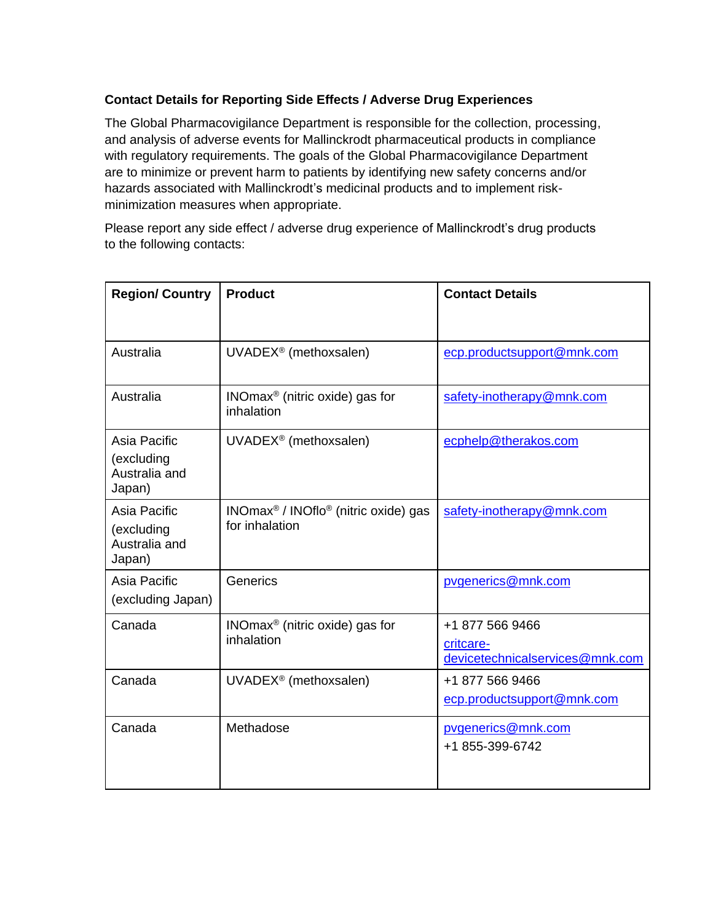## **Contact Details for Reporting Side Effects / Adverse Drug Experiences**

The Global Pharmacovigilance Department is responsible for the collection, processing, and analysis of adverse events for Mallinckrodt pharmaceutical products in compliance with regulatory requirements. The goals of the Global Pharmacovigilance Department are to minimize or prevent harm to patients by identifying new safety concerns and/or hazards associated with Mallinckrodt's medicinal products and to implement riskminimization measures when appropriate.

Please report any side effect / adverse drug experience of Mallinckrodt's drug products to the following contacts:

| <b>Region/ Country</b>                                | <b>Product</b>                                           | <b>Contact Details</b>                                          |
|-------------------------------------------------------|----------------------------------------------------------|-----------------------------------------------------------------|
|                                                       |                                                          |                                                                 |
| Australia                                             | UVADEX <sup>®</sup> (methoxsalen)                        | ecp.productsupport@mnk.com                                      |
| Australia                                             | $INOmax®$ (nitric oxide) gas for<br>inhalation           | safety-inotherapy@mnk.com                                       |
| Asia Pacific<br>(excluding<br>Australia and<br>Japan) | UVADEX <sup>®</sup> (methoxsalen)                        | ecphelp@therakos.com                                            |
| Asia Pacific<br>(excluding<br>Australia and<br>Japan) | $INOmax® / INOflo®$ (nitric oxide) gas<br>for inhalation | safety-inotherapy@mnk.com                                       |
| Asia Pacific<br>(excluding Japan)                     | Generics                                                 | pvgenerics@mnk.com                                              |
| Canada                                                | $INOmax®$ (nitric oxide) gas for<br>inhalation           | +1 877 566 9466<br>critcare-<br>devicetechnicalservices@mnk.com |
| Canada                                                | UVADEX <sup>®</sup> (methoxsalen)                        | +1 877 566 9466<br>ecp.productsupport@mnk.com                   |
| Canada                                                | Methadose                                                | pygenerics@mnk.com<br>+1 855-399-6742                           |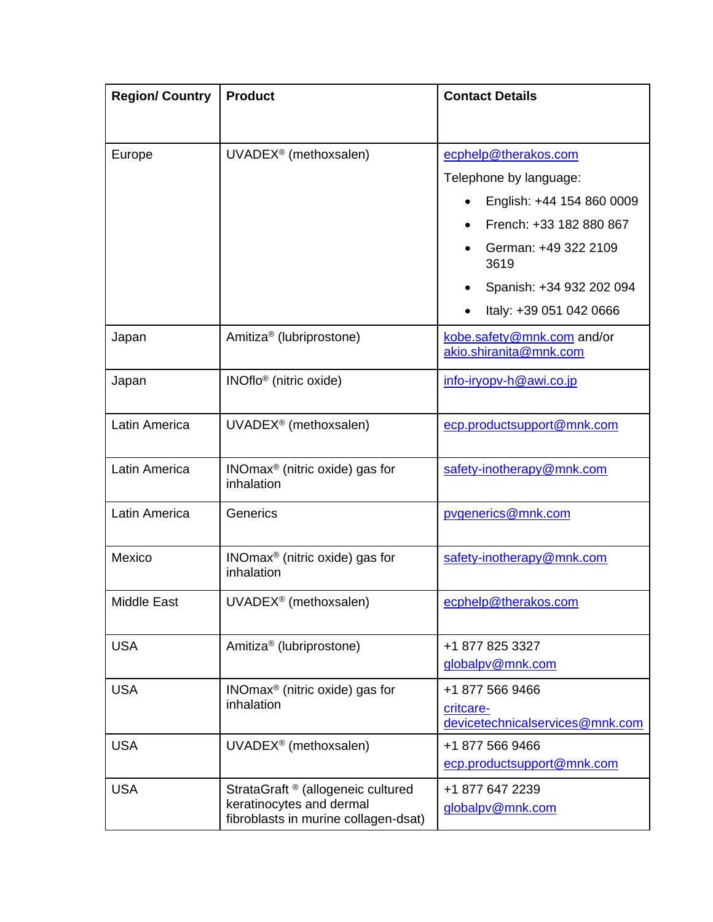| <b>Region/ Country</b> | <b>Product</b>                                                                                         | <b>Contact Details</b>                                          |
|------------------------|--------------------------------------------------------------------------------------------------------|-----------------------------------------------------------------|
|                        |                                                                                                        |                                                                 |
| Europe                 | UVADEX <sup>®</sup> (methoxsalen)                                                                      | ecphelp@therakos.com                                            |
|                        |                                                                                                        | Telephone by language:                                          |
|                        |                                                                                                        | English: +44 154 860 0009                                       |
|                        |                                                                                                        | French: +33 182 880 867                                         |
|                        |                                                                                                        | German: +49 322 2109<br>3619                                    |
|                        |                                                                                                        | Spanish: +34 932 202 094                                        |
|                        |                                                                                                        | Italy: +39 051 042 0666                                         |
| Japan                  | Amitiza <sup>®</sup> (lubriprostone)                                                                   | kobe.safety@mnk.com and/or<br>akio.shiranita@mnk.com            |
| Japan                  | INOflo <sup>®</sup> (nitric oxide)                                                                     | info-iryopv-h@awi.co.jp                                         |
| Latin America          | UVADEX <sup>®</sup> (methoxsalen)                                                                      | ecp.productsupport@mnk.com                                      |
| Latin America          | $INOmax®$ (nitric oxide) gas for<br>inhalation                                                         | safety-inotherapy@mnk.com                                       |
| Latin America          | Generics                                                                                               | pvgenerics@mnk.com                                              |
| Mexico                 | $INOmax®$ (nitric oxide) gas for<br>inhalation                                                         | safety-inotherapy@mnk.com                                       |
| Middle East            | UVADEX <sup>®</sup> (methoxsalen)                                                                      | ecphelp@therakos.com                                            |
| <b>USA</b>             | Amitiza <sup>®</sup> (lubriprostone)                                                                   | +1 877 825 3327<br>globalpv@mnk.com                             |
| <b>USA</b>             | $INOmax®$ (nitric oxide) gas for<br>inhalation                                                         | +1 877 566 9466<br>critcare-<br>devicetechnicalservices@mnk.com |
| <b>USA</b>             | UVADEX <sup>®</sup> (methoxsalen)                                                                      | +1 877 566 9466<br>ecp.productsupport@mnk.com                   |
| <b>USA</b>             | StrataGraft ® (allogeneic cultured<br>keratinocytes and dermal<br>fibroblasts in murine collagen-dsat) | +1 877 647 2239<br>globalpv@mnk.com                             |